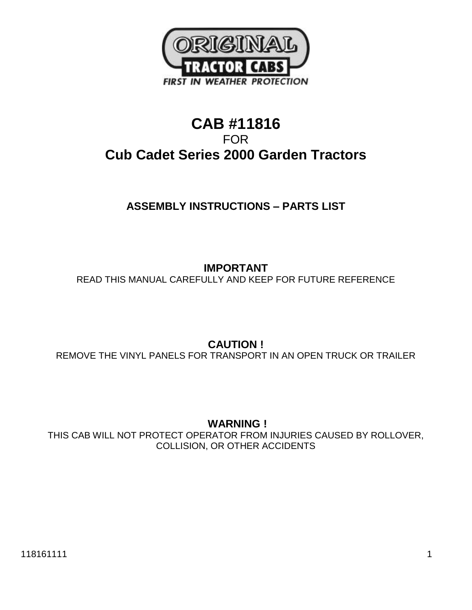

# **CAB #11816** FOR **Cub Cadet Series 2000 Garden Tractors**

# **ASSEMBLY INSTRUCTIONS – PARTS LIST**

**IMPORTANT**  READ THIS MANUAL CAREFULLY AND KEEP FOR FUTURE REFERENCE

**CAUTION !** REMOVE THE VINYL PANELS FOR TRANSPORT IN AN OPEN TRUCK OR TRAILER

**WARNING !**

THIS CAB WILL NOT PROTECT OPERATOR FROM INJURIES CAUSED BY ROLLOVER, COLLISION, OR OTHER ACCIDENTS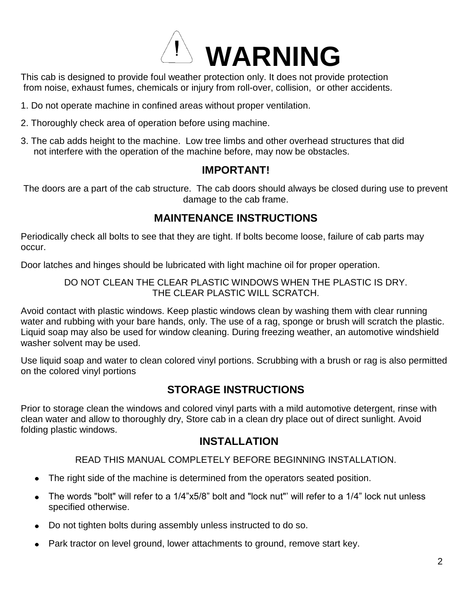

This cab is designed to provide foul weather protection only. It does not provide protection from noise, exhaust fumes, chemicals or injury from roll-over, collision, or other accidents.

- 1. Do not operate machine in confined areas without proper ventilation.
- 2. Thoroughly check area of operation before using machine.
- 3. The cab adds height to the machine. Low tree limbs and other overhead structures that did not interfere with the operation of the machine before, may now be obstacles.

## **IMPORTANT!**

The doors are a part of the cab structure. The cab doors should always be closed during use to prevent damage to the cab frame.

# **MAINTENANCE INSTRUCTIONS**

Periodically check all bolts to see that they are tight. If bolts become loose, failure of cab parts may occur.

Door latches and hinges should be lubricated with light machine oil for proper operation.

### DO NOT CLEAN THE CLEAR PLASTIC WINDOWS WHEN THE PLASTIC IS DRY. THE CLEAR PLASTIC WILL SCRATCH.

Avoid contact with plastic windows. Keep plastic windows clean by washing them with clear running water and rubbing with your bare hands, only. The use of a rag, sponge or brush will scratch the plastic. Liquid soap may also be used for window cleaning. During freezing weather, an automotive windshield washer solvent may be used.

Use liquid soap and water to clean colored vinyl portions. Scrubbing with a brush or rag is also permitted on the colored vinyl portions

# **STORAGE INSTRUCTIONS**

Prior to storage clean the windows and colored vinyl parts with a mild automotive detergent, rinse with clean water and allow to thoroughly dry, Store cab in a clean dry place out of direct sunlight. Avoid folding plastic windows.

# **INSTALLATION**

## READ THIS MANUAL COMPLETELY BEFORE BEGINNING INSTALLATION.

- The right side of the machine is determined from the operators seated position.  $\bullet$
- The words "bolt" will refer to a 1/4"x5/8" bolt and "lock nut"' will refer to a 1/4" lock nut unless  $\bullet$ specified otherwise.
- Do not tighten bolts during assembly unless instructed to do so.  $\bullet$
- Park tractor on level ground, lower attachments to ground, remove start key.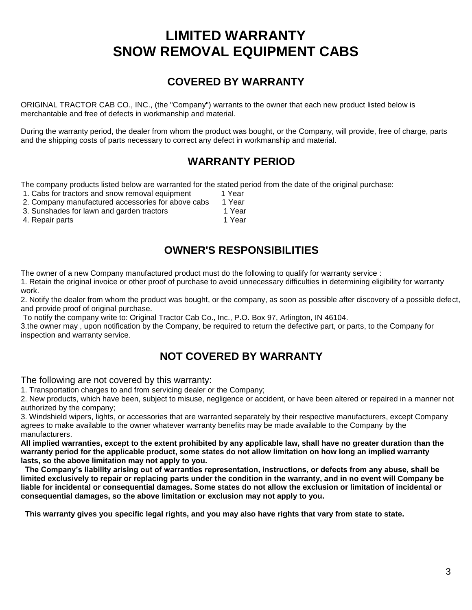# **LIMITED WARRANTY SNOW REMOVAL EQUIPMENT CABS**

# **COVERED BY WARRANTY**

ORIGINAL TRACTOR CAB CO., INC., (the "Company") warrants to the owner that each new product listed below is merchantable and free of defects in workmanship and material.

During the warranty period, the dealer from whom the product was bought, or the Company, will provide, free of charge, parts and the shipping costs of parts necessary to correct any defect in workmanship and material.

# **WARRANTY PERIOD**

The company products listed below are warranted for the stated period from the date of the original purchase:

- 1. Cabs for tractors and snow removal equipment 1 Year
- 2. Company manufactured accessories for above cabs 1 Year<br>3. Sunshades for lawn and garden tractors 1 1 Year
- 3. Sunshades for lawn and garden tractors
- 4. Repair parts 1 Year

**OWNER'S RESPONSIBILITIES**

The owner of a new Company manufactured product must do the following to qualify for warranty service : 1. Retain the original invoice or other proof of purchase to avoid unnecessary difficulties in determining eligibility for warranty

work. 2. Notify the dealer from whom the product was bought, or the company, as soon as possible after discovery of a possible defect,

and provide proof of original purchase.

To notify the company write to: Original Tractor Cab Co., Inc., P.O. Box 97, Arlington, IN 46104.

3.the owner may , upon notification by the Company, be required to return the defective part, or parts, to the Company for inspection and warranty service.

# **NOT COVERED BY WARRANTY**

The following are not covered by this warranty:

1. Transportation charges to and from servicing dealer or the Company;

2. New products, which have been, subject to misuse, negligence or accident, or have been altered or repaired in a manner not authorized by the company;

3. Windshield wipers, lights, or accessories that are warranted separately by their respective manufacturers, except Company agrees to make available to the owner whatever warranty benefits may be made available to the Company by the manufacturers.

**All implied warranties, except to the extent prohibited by any applicable law, shall have no greater duration than the warranty period for the applicable product, some states do not allow limitation on how long an implied warranty lasts, so the above limitation may not apply to you.**

 **The Company's liability arising out of warranties representation, instructions, or defects from any abuse, shall be limited exclusively to repair or replacing parts under the condition in the warranty, and in no event will Company be liable for incidental or consequential damages. Some states do not allow the exclusion or limitation of incidental or consequential damages, so the above limitation or exclusion may not apply to you.**

 **This warranty gives you specific legal rights, and you may also have rights that vary from state to state.**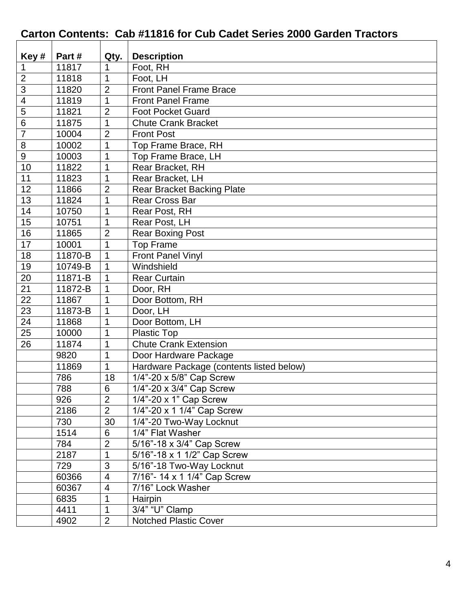# **Carton Contents: Cab #11816 for Cub Cadet Series 2000 Garden Tractors**

| Key#            | Part#   | Qty.           | <b>Description</b>                       |
|-----------------|---------|----------------|------------------------------------------|
| $\mathbf 1$     | 11817   | 1              | Foot, RH                                 |
| $\overline{2}$  | 11818   | 1              | Foot, LH                                 |
| 3               | 11820   | $\overline{2}$ | <b>Front Panel Frame Brace</b>           |
| 4               | 11819   | 1              | <b>Front Panel Frame</b>                 |
| $\overline{5}$  | 11821   | $\overline{2}$ | <b>Foot Pocket Guard</b>                 |
| $6\phantom{1}6$ | 11875   | $\mathbf{1}$   | <b>Chute Crank Bracket</b>               |
| $\overline{7}$  |         |                |                                          |
|                 | 10004   | 2              | <b>Front Post</b>                        |
| 8               | 10002   | 1              | Top Frame Brace, RH                      |
| 9               | 10003   | 1              | Top Frame Brace, LH                      |
| 10              | 11822   | $\mathbf 1$    | Rear Bracket, RH                         |
| 11              | 11823   | 1              | Rear Bracket, LH                         |
| 12              | 11866   | $\overline{2}$ | <b>Rear Bracket Backing Plate</b>        |
| 13              | 11824   | 1              | <b>Rear Cross Bar</b>                    |
| 14              | 10750   | 1              | Rear Post, RH                            |
| 15              | 10751   | 1              | Rear Post, LH                            |
| 16              | 11865   | $\overline{2}$ | <b>Rear Boxing Post</b>                  |
| 17              | 10001   | 1              | <b>Top Frame</b>                         |
| 18              | 11870-B | 1              | <b>Front Panel Vinyl</b>                 |
| 19              | 10749-B | 1              | Windshield                               |
| 20              | 11871-B | 1              | <b>Rear Curtain</b>                      |
| 21              | 11872-B | 1              | Door, RH                                 |
| 22              | 11867   | 1              | Door Bottom, RH                          |
| 23              | 11873-B | 1              | Door, LH                                 |
| 24              | 11868   | 1              | Door Bottom, LH                          |
| 25              | 10000   | 1              | Plastic Top                              |
| 26              | 11874   | 1              | <b>Chute Crank Extension</b>             |
|                 | 9820    | 1              | Door Hardware Package                    |
|                 | 11869   | $\mathbf{1}$   | Hardware Package (contents listed below) |
|                 | 786     | 18             | $\overline{1/4}$ "-20 x 5/8" Cap Screw   |
|                 | 788     | 6              | 1/4"-20 x 3/4" Cap Screw                 |
|                 | 926     | $\overline{2}$ | $1/4$ "-20 x 1" Cap Screw                |
|                 | 2186    | $\overline{2}$ | 1/4"-20 x 1 1/4" Cap Screw               |
|                 | 730     | 30             | 1/4"-20 Two-Way Locknut                  |
|                 | 1514    | 6              | 1/4" Flat Washer                         |
|                 | 784     | $\overline{2}$ | 5/16"-18 x 3/4" Cap Screw                |
|                 | 2187    | 1              | 5/16"-18 x 1 1/2" Cap Screw              |
|                 | 729     | 3              | 5/16"-18 Two-Way Locknut                 |
|                 | 60366   | $\overline{4}$ | 7/16"- 14 x 1 1/4" Cap Screw             |
|                 | 60367   | 4              | 7/16" Lock Washer                        |
|                 | 6835    | 1              | Hairpin                                  |
|                 | 4411    | 1              | 3/4" "U" Clamp                           |
|                 | 4902    | $\overline{2}$ | <b>Notched Plastic Cover</b>             |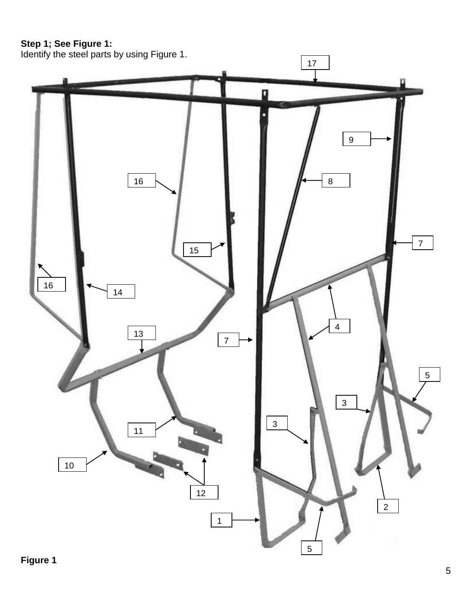## **Step 1; See Figure 1:**

Identify the steel parts by using Figure 1.

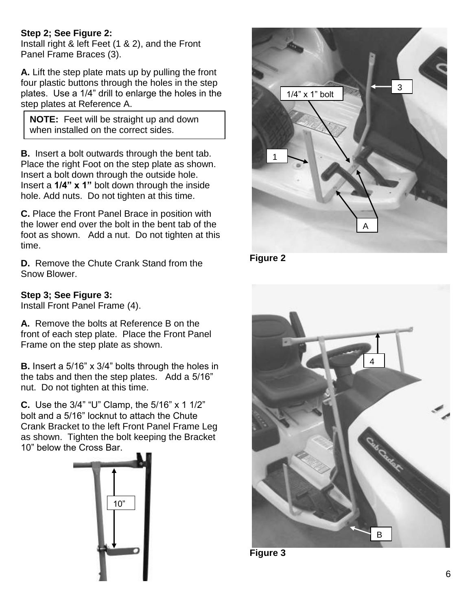### **Step 2; See Figure 2:**

Install right & left Feet (1 & 2), and the Front Panel Frame Braces (3).

**A.** Lift the step plate mats up by pulling the front four plastic buttons through the holes in the step plates. Use a 1/4" drill to enlarge the holes in the step plates at Reference A.

**NOTE:** Feet will be straight up and down when installed on the correct sides.

**B.** Insert a bolt outwards through the bent tab. Place the right Foot on the step plate as shown. Insert a bolt down through the outside hole. Insert a **1/4" x 1"** bolt down through the inside hole. Add nuts. Do not tighten at this time.

**C.** Place the Front Panel Brace in position with the lower end over the bolt in the bent tab of the foot as shown. Add a nut. Do not tighten at this time.

**D.** Remove the Chute Crank Stand from the Snow Blower.

## **Step 3; See Figure 3:**

Install Front Panel Frame (4).

**A.** Remove the bolts at Reference B on the front of each step plate. Place the Front Panel Frame on the step plate as shown.

**B.** Insert a 5/16" x 3/4" bolts through the holes in the tabs and then the step plates. Add a 5/16" nut. Do not tighten at this time.

**C.** Use the 3/4" "U" Clamp, the 5/16" x 1 1/2" bolt and a 5/16" locknut to attach the Chute Crank Bracket to the left Front Panel Frame Leg as shown. Tighten the bolt keeping the Bracket 10" below the Cross Bar.





**Figure 2**



**Figure 3**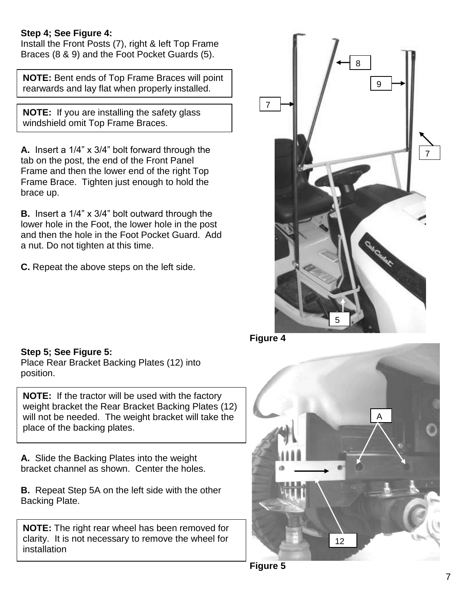### **Step 4; See Figure 4:**

Install the Front Posts (7), right & left Top Frame Braces (8 & 9) and the Foot Pocket Guards (5).

**NOTE:** Bent ends of Top Frame Braces will point rearwards and lay flat when properly installed.

**NOTE:** If you are installing the safety glass windshield omit Top Frame Braces.

**A.** Insert a 1/4" x 3/4" bolt forward through the tab on the post, the end of the Front Panel Frame and then the lower end of the right Top Frame Brace. Tighten just enough to hold the brace up.

**B.** Insert a 1/4" x 3/4" bolt outward through the lower hole in the Foot, the lower hole in the post and then the hole in the Foot Pocket Guard. Add a nut. Do not tighten at this time.

**C.** Repeat the above steps on the left side.



**Step 5; See Figure 5:** Place Rear Bracket Backing Plates (12) into position.

**NOTE:** If the tractor will be used with the factory weight bracket the Rear Bracket Backing Plates (12) will not be needed. The weight bracket will take the place of the backing plates.

**A.** Slide the Backing Plates into the weight bracket channel as shown. Center the holes.

**B.** Repeat Step 5A on the left side with the other Backing Plate.

**NOTE:** The right rear wheel has been removed for clarity. It is not necessary to remove the wheel for installation

**Figure 4**



**Figure 5**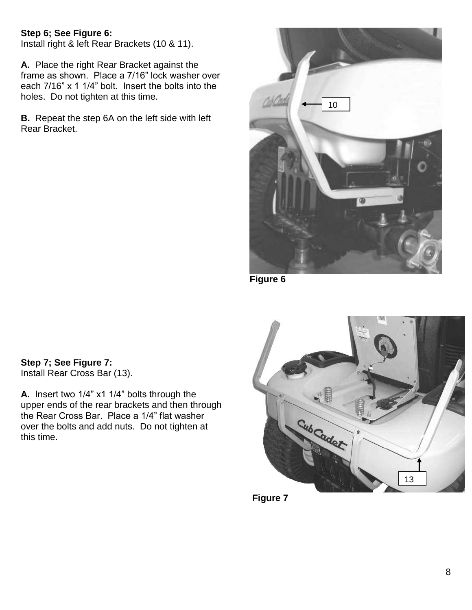## **Step 6; See Figure 6:**

Install right & left Rear Brackets (10 & 11).

**A.** Place the right Rear Bracket against the frame as shown. Place a 7/16" lock washer over each 7/16" x 1 1/4" bolt. Insert the bolts into the holes. Do not tighten at this time.

**B.** Repeat the step 6A on the left side with left Rear Bracket.



**Figure 6**

**Step 7; See Figure 7:** Install Rear Cross Bar (13).

**A.** Insert two 1/4" x1 1/4" bolts through the upper ends of the rear brackets and then through the Rear Cross Bar. Place a 1/4" flat washer over the bolts and add nuts. Do not tighten at this time.



**Figure 7**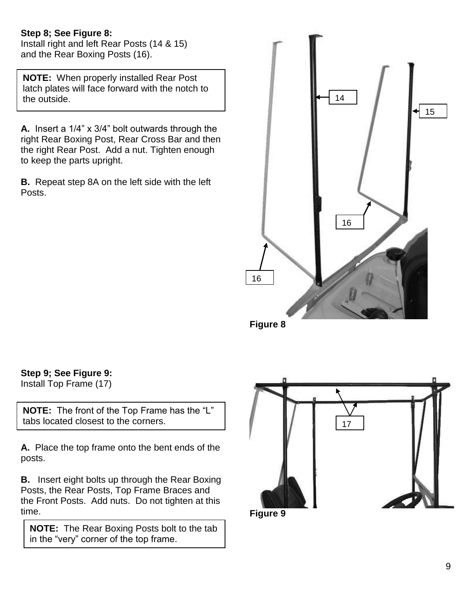### **Step 8; See Figure 8:**

Install right and left Rear Posts (14 & 15) and the Rear Boxing Posts (16).

. **NOTE:** When properly installed Rear Post latch plates will face forward with the notch to the outside.

**A.** Insert a 1/4" x 3/4" bolt outwards through the right Rear Boxing Post, Rear Cross Bar and then the right Rear Post. Add a nut. Tighten enough to keep the parts upright.

**B.** Repeat step 8A on the left side with the left Posts.



**Figure 8**

**Step 9; See Figure 9:**

Install Top Frame (17)

**NOTE:** The front of the Top Frame has the "L" tabs located closest to the corners.

**A.** Place the top frame onto the bent ends of the posts.

**B.** Insert eight bolts up through the Rear Boxing Posts, the Rear Posts, Top Frame Braces and the Front Posts. Add nuts. Do not tighten at this time.

**NOTE:** The Rear Boxing Posts bolt to the tab in the "very" corner of the top frame.



**Figure 9**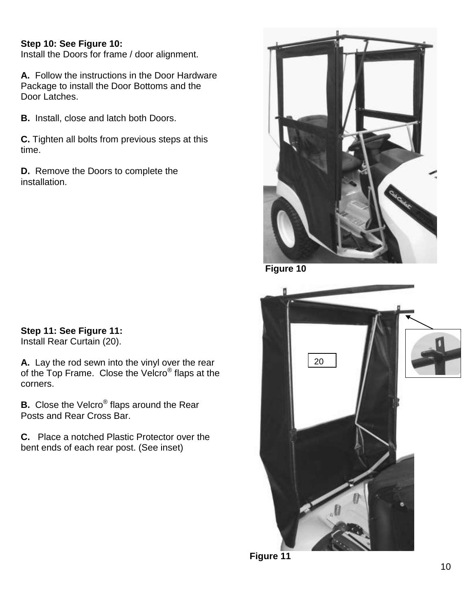### **Step 10: See Figure 10:**

Install the Doors for frame / door alignment.

**A.** Follow the instructions in the Door Hardware Package to install the Door Bottoms and the Door Latches.

**B.** Install, close and latch both Doors.

**C.** Tighten all bolts from previous steps at this time.

**D.** Remove the Doors to complete the installation.

 **Figure 10** 



**Figure 11**

# **Step 11: See Figure 11:**

Install Rear Curtain (20).

**A.** Lay the rod sewn into the vinyl over the rear of the Top Frame. Close the Velcro® flaps at the corners.

**B.** Close the Velcro® flaps around the Rear Posts and Rear Cross Bar.

**C.** Place a notched Plastic Protector over the bent ends of each rear post. (See inset)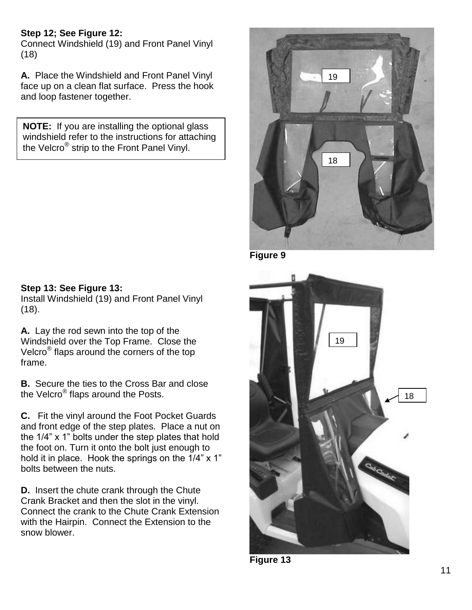## **Step 12; See Figure 12:**

Connect Windshield (19) and Front Panel Vinyl (18)

**A.** Place the Windshield and Front Panel Vinyl face up on a clean flat surface. Press the hook and loop fastener together.

**NOTE:** If you are installing the optional glass windshield refer to the instructions for attaching the Velcro® strip to the Front Panel Vinyl.



**Figure 9**



**A.** Lay the rod sewn into the top of the Windshield over the Top Frame. Close the Velcro® flaps around the corners of the top frame.

**B.** Secure the ties to the Cross Bar and close the Velcro® flaps around the Posts.

**C.** Fit the vinyl around the Foot Pocket Guards and front edge of the step plates. Place a nut on the 1/4" x 1" bolts under the step plates that hold the foot on. Turn it onto the bolt just enough to hold it in place. Hook the springs on the 1/4" x 1" bolts between the nuts.

**D.** Insert the chute crank through the Chute Crank Bracket and then the slot in the vinyl. Connect the crank to the Chute Crank Extension with the Hairpin. Connect the Extension to the snow blower.



**Figure 13**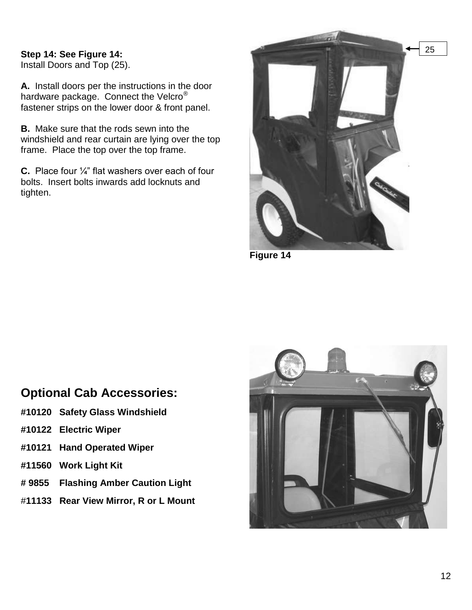### **Step 14: See Figure 14:** Install Doors and Top (25).

**A.** Install doors per the instructions in the door hardware package. Connect the Velcro<sup>®</sup> fastener strips on the lower door & front panel.

**B.** Make sure that the rods sewn into the windshield and rear curtain are lying over the top frame. Place the top over the top frame.

**C.** Place four ¼" flat washers over each of four bolts. Insert bolts inwards add locknuts and tighten.



**Figure 14**

### **Optional Cab Accessories:**

- **#10120 Safety Glass Windshield**
- **#10122 Electric Wiper**
- **#10121 Hand Operated Wiper**
- **#11560 Work Light Kit**
- **# 9855 Flashing Amber Caution Light**
- #**11133 Rear View Mirror, R or L Mount**